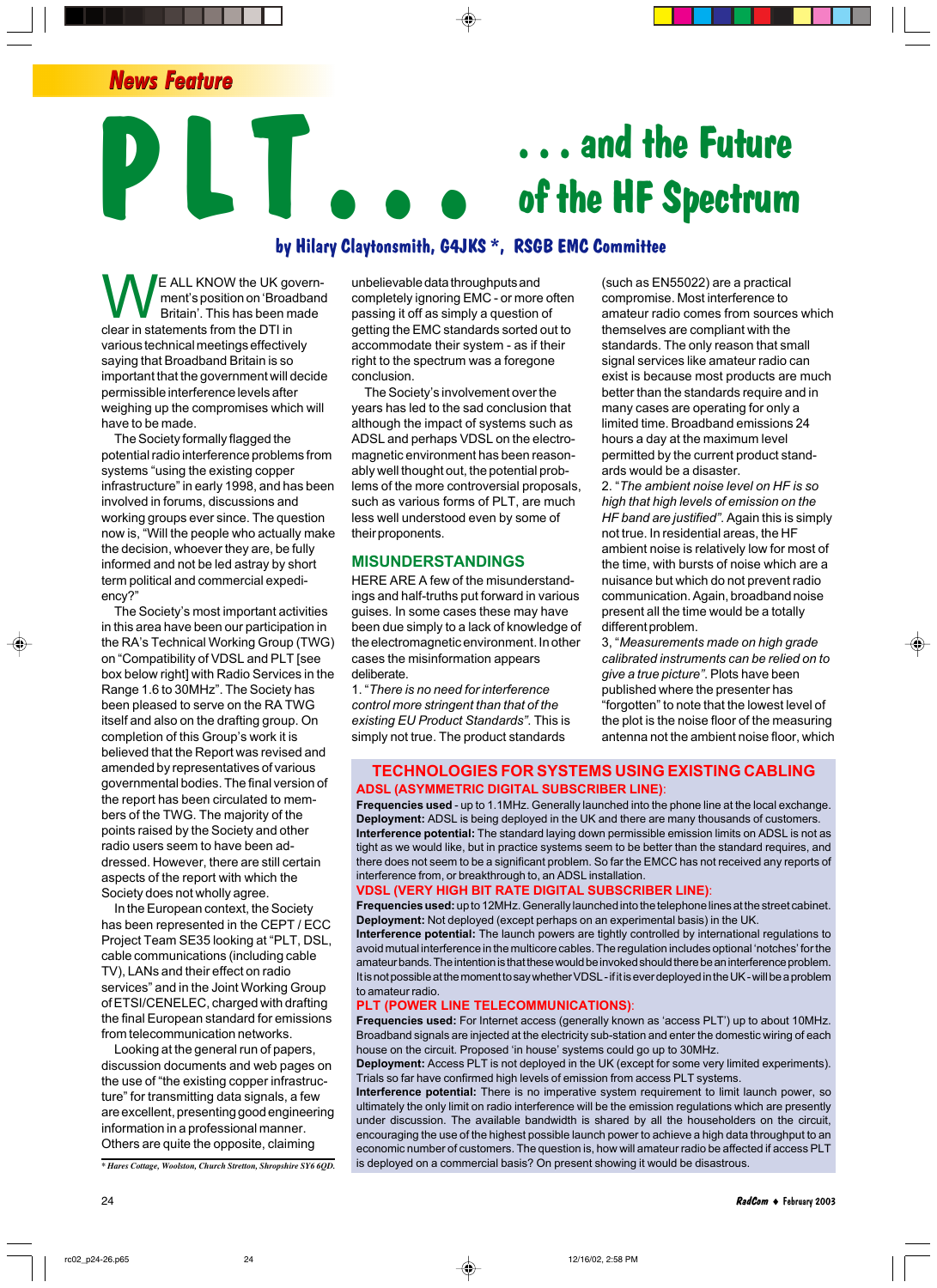*News Feature*

# **. . . and the Future of the HF Spectrum**

# **P L T . . . by Hilary Claytonsmith, G4JKS \*, RSGB EMC Committee**

E ALL KNOW the UK government's position on 'Broadband Britain'. This has been made clear in statements from the DTI in various technical meetings effectively saying that Broadband Britain is so important that the government will decide permissible interference levels after weighing up the compromises which will have to be made.

The Society formally flagged the potential radio interference problems from systems "using the existing copper infrastructure" in early 1998, and has been involved in forums, discussions and working groups ever since. The question now is, "Will the people who actually make the decision, whoever they are, be fully informed and not be led astray by short term political and commercial expediency?"

The Society's most important activities in this area have been our participation in the RAís Technical Working Group (TWG) on "Compatibility of VDSL and PLT [see box below right] with Radio Services in the Range 1.6 to 30MHz". The Society has been pleased to serve on the RA TWG itself and also on the drafting group. On completion of this Group's work it is believed that the Report was revised and amended by representatives of various governmental bodies. The final version of the report has been circulated to members of the TWG. The majority of the points raised by the Society and other radio users seem to have been addressed. However, there are still certain aspects of the report with which the Society does not wholly agree.

In the European context, the Society has been represented in the CEPT / ECC Project Team SE35 looking at "PLT, DSL, cable communications (including cable TV), LANs and their effect on radio services" and in the Joint Working Group of ETSI/CENELEC, charged with drafting the final European standard for emissions from telecommunication networks.

Looking at the general run of papers, discussion documents and web pages on the use of "the existing copper infrastructure" for transmitting data signals, a few are excellent, presenting good engineering information in a professional manner. Others are quite the opposite, claiming

*\* Hares Cottage, Woolston, Church Stretton, Shropshire SY6 6QD.*

unbelievable data throughputs and completely ignoring EMC - or more often passing it off as simply a question of getting the EMC standards sorted out to accommodate their system - as if their right to the spectrum was a foregone conclusion.

The Society's involvement over the years has led to the sad conclusion that although the impact of systems such as ADSL and perhaps VDSL on the electromagnetic environment has been reasonably well thought out, the potential problems of the more controversial proposals, such as various forms of PLT, are much less well understood even by some of their proponents.

#### **MISUNDERSTANDINGS**

HERE ARE A few of the misunderstandings and half-truths put forward in various guises. In some cases these may have been due simply to a lack of knowledge of the electromagnetic environment. In other cases the misinformation appears deliberate.

1. ì*There is no need for interference control more stringent than that of the existing EU Product Standardsî*. This is simply not true. The product standards

(such as EN55022) are a practical compromise. Most interference to amateur radio comes from sources which themselves are compliant with the standards. The only reason that small signal services like amateur radio can exist is because most products are much better than the standards require and in many cases are operating for only a limited time. Broadband emissions 24 hours a day at the maximum level permitted by the current product standards would be a disaster.

2. ì*The ambient noise level on HF is so high that high levels of emission on the HF band are justifiedî*. Again this is simply not true. In residential areas, the HF ambient noise is relatively low for most of the time, with bursts of noise which are a nuisance but which do not prevent radio communication. Again, broadband noise present all the time would be a totally different problem.

3, ì*Measurements made on high grade calibrated instruments can be relied on to give a true pictureî*. Plots have been published where the presenter has ìforgottenî to note that the lowest level of the plot is the noise floor of the measuring antenna not the ambient noise floor, which

#### **TECHNOLOGIES FOR SYSTEMS USING EXISTING CABLING ADSL (ASYMMETRIC DIGITAL SUBSCRIBER LINE)**:

**Frequencies used** - up to 1.1MHz. Generally launched into the phone line at the local exchange. **Deployment:** ADSL is being deployed in the UK and there are many thousands of customers. **Interference potential:** The standard laying down permissible emission limits on ADSL is not as tight as we would like, but in practice systems seem to be better than the standard requires, and there does not seem to be a significant problem. So far the EMCC has not received any reports of interference from, or breakthrough to, an ADSL installation.

#### **VDSL (VERY HIGH BIT RATE DIGITAL SUBSCRIBER LINE)**:

**Frequencies used:** up to 12MHz. Generally launched into the telephone lines at the street cabinet. **Deployment:** Not deployed (except perhaps on an experimental basis) in the UK.

**Interference potential:** The launch powers are tightly controlled by international regulations to avoid mutual interference in the multicore cables. The regulation includes optional 'notches' for the amateur bands. The intention is that these would be invoked should there be an interference problem. It is not possible at the moment to say whether VDSL - if it is ever deployed in the UK - will be a problem to amateur radio.

#### **PLT (POWER LINE TELECOMMUNICATIONS)**:

Frequencies used: For Internet access (generally known as 'access PLT') up to about 10MHz. Broadband signals are injected at the electricity sub-station and enter the domestic wiring of each house on the circuit. Proposed 'in house' systems could go up to 30MHz.

**Deployment:** Access PLT is not deployed in the UK (except for some very limited experiments). Trials so far have confirmed high levels of emission from access PLT systems.

**Interference potential:** There is no imperative system requirement to limit launch power, so ultimately the only limit on radio interference will be the emission regulations which are presently under discussion. The available bandwidth is shared by all the householders on the circuit, encouraging the use of the highest possible launch power to achieve a high data throughput to an economic number of customers. The question is, how will amateur radio be affected if access PLT is deployed on a commercial basis? On present showing it would be disastrous.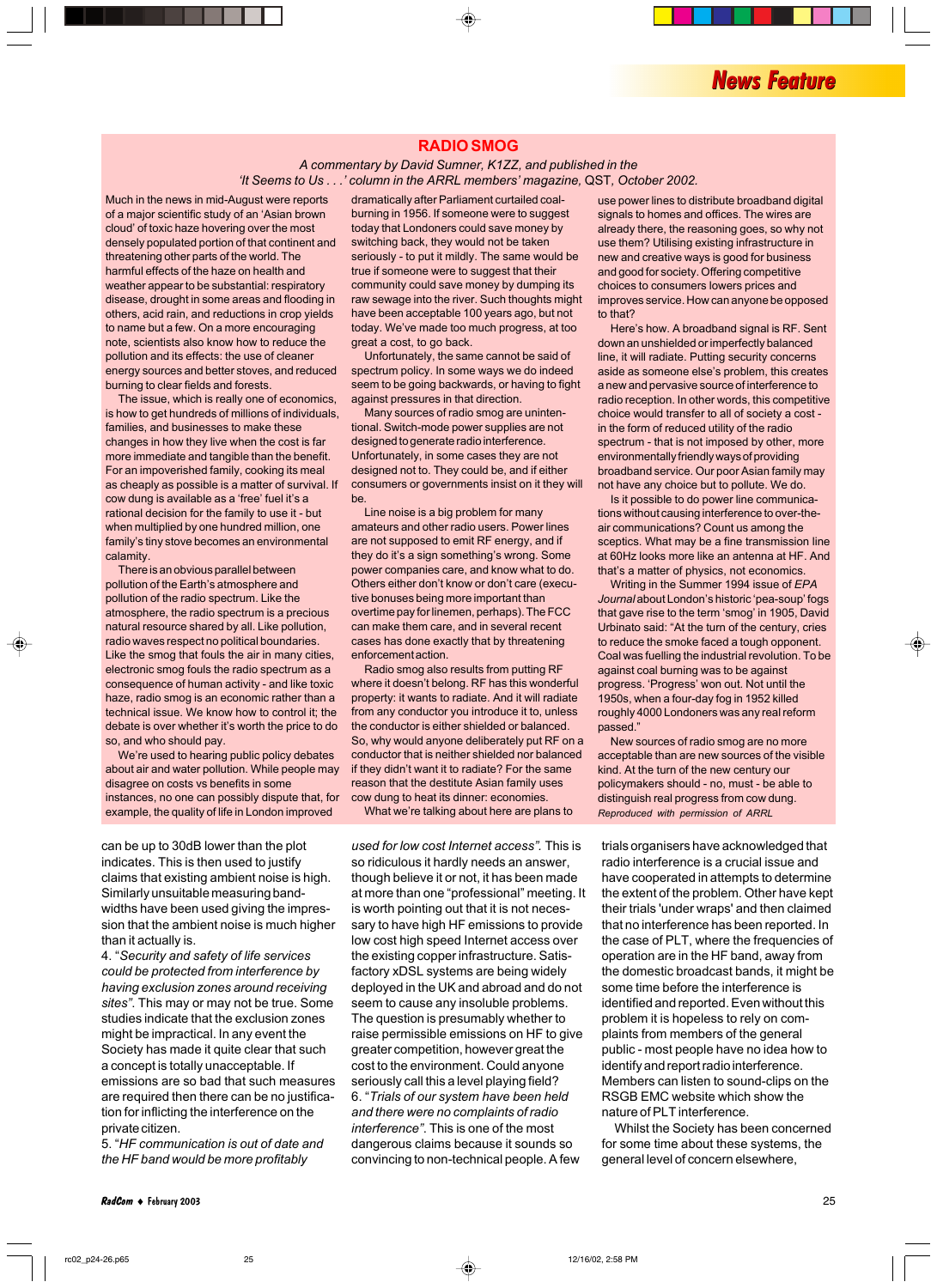#### **RADIO SMOG**

#### *A commentary by David Sumner, K1ZZ, and published in the ëIt Seems to Us . . .í column in the ARRL membersí magazine,* QST*, October 2002.*

Much in the news in mid-August were reports of a major scientific study of an 'Asian brown cloud' of toxic haze hovering over the most densely populated portion of that continent and threatening other parts of the world. The harmful effects of the haze on health and weather appear to be substantial: respiratory disease, drought in some areas and flooding in others, acid rain, and reductions in crop yields to name but a few. On a more encouraging note, scientists also know how to reduce the pollution and its effects: the use of cleaner energy sources and better stoves, and reduced burning to clear fields and forests.

The issue, which is really one of economics, is how to get hundreds of millions of individuals, families, and businesses to make these changes in how they live when the cost is far more immediate and tangible than the benefit. For an impoverished family, cooking its meal as cheaply as possible is a matter of survival. If cow dung is available as a 'free' fuel it's a rational decision for the family to use it - but when multiplied by one hundred million, one family's tiny stove becomes an environmental calamity.

There is an obvious parallel between pollution of the Earth's atmosphere and pollution of the radio spectrum. Like the atmosphere, the radio spectrum is a precious natural resource shared by all. Like pollution, radio waves respect no political boundaries. Like the smog that fouls the air in many cities, electronic smog fouls the radio spectrum as a consequence of human activity - and like toxic haze, radio smog is an economic rather than a technical issue. We know how to control it; the debate is over whether it's worth the price to do so, and who should pay.

We're used to hearing public policy debates about air and water pollution. While people may disagree on costs vs benefits in some instances, no one can possibly dispute that, for example, the quality of life in London improved

can be up to 30dB lower than the plot indicates. This is then used to justify claims that existing ambient noise is high. Similarly unsuitable measuring bandwidths have been used giving the impression that the ambient noise is much higher than it actually is.

4. ì*Security and safety of life services could be protected from interference by having exclusion zones around receiving sitesî*. This may or may not be true. Some studies indicate that the exclusion zones might be impractical. In any event the Society has made it quite clear that such a concept is totally unacceptable. If emissions are so bad that such measures are required then there can be no justification for inflicting the interference on the private citizen.

5. ì*HF communication is out of date and the HF band would be more profitably*

dramatically after Parliament curtailed coalburning in 1956. If someone were to suggest today that Londoners could save money by switching back, they would not be taken seriously - to put it mildly. The same would be true if someone were to suggest that their community could save money by dumping its raw sewage into the river. Such thoughts might have been acceptable 100 years ago, but not today. We've made too much progress, at too great a cost, to go back.

Unfortunately, the same cannot be said of spectrum policy. In some ways we do indeed seem to be going backwards, or having to fight against pressures in that direction.

Many sources of radio smog are unintentional. Switch-mode power supplies are not designed to generate radio interference. Unfortunately, in some cases they are not designed not to. They could be, and if either consumers or governments insist on it they will be.

Line noise is a big problem for many amateurs and other radio users. Power lines are not supposed to emit RF energy, and if they do it's a sign something's wrong. Some power companies care, and know what to do. Others either don't know or don't care (executive bonuses being more important than overtime pay for linemen, perhaps). The FCC can make them care, and in several recent cases has done exactly that by threatening enforcement action.

Radio smog also results from putting RF where it doesn't belong. RF has this wonderful property: it wants to radiate. And it will radiate from any conductor you introduce it to, unless the conductor is either shielded or balanced. So, why would anyone deliberately put RF on a conductor that is neither shielded nor balanced if they didn't want it to radiate? For the same reason that the destitute Asian family uses cow dung to heat its dinner: economies. What we're talking about here are plans to

*used for low cost Internet accessî.* This is so ridiculous it hardly needs an answer, though believe it or not, it has been made at more than one "professional" meeting. It is worth pointing out that it is not necessary to have high HF emissions to provide low cost high speed Internet access over the existing copper infrastructure. Satisfactory xDSL systems are being widely deployed in the UK and abroad and do not seem to cause any insoluble problems. The question is presumably whether to raise permissible emissions on HF to give greater competition, however great the cost to the environment. Could anyone seriously call this a level playing field? 6. ì*Trials of our system have been held and there were no complaints of radio interferenceî*. This is one of the most dangerous claims because it sounds so convincing to non-technical people. A few

use power lines to distribute broadband digital signals to homes and offices. The wires are already there, the reasoning goes, so why not use them? Utilising existing infrastructure in new and creative ways is good for business and good for society. Offering competitive choices to consumers lowers prices and improves service. How can anyone be opposed to that?

Here's how. A broadband signal is RF. Sent down an unshielded or imperfectly balanced line, it will radiate. Putting security concerns aside as someone else's problem, this creates a new and pervasive source of interference to radio reception. In other words, this competitive choice would transfer to all of society a cost in the form of reduced utility of the radio spectrum - that is not imposed by other, more environmentally friendly ways of providing broadband service. Our poor Asian family may not have any choice but to pollute. We do.

Is it possible to do power line communications without causing interference to over-theair communications? Count us among the sceptics. What may be a fine transmission line at 60Hz looks more like an antenna at HF. And that's a matter of physics, not economics.

Writing in the Summer 1994 issue of *EPA* Journal about London's historic 'pea-soup' fogs that gave rise to the term 'smog' in 1905, David Urbinato said: "At the turn of the century, cries to reduce the smoke faced a tough opponent. Coal was fuelling the industrial revolution. To be against coal burning was to be against progress. 'Progress' won out. Not until the 1950s, when a four-day fog in 1952 killed roughly 4000 Londoners was any real reform passed.'

New sources of radio smog are no more acceptable than are new sources of the visible kind. At the turn of the new century our policymakers should - no, must - be able to distinguish real progress from cow dung. *Reproduced with permission of ARRL*

trials organisers have acknowledged that radio interference is a crucial issue and have cooperated in attempts to determine the extent of the problem. Other have kept their trials 'under wraps' and then claimed that no interference has been reported. In the case of PLT, where the frequencies of operation are in the HF band, away from the domestic broadcast bands, it might be some time before the interference is identified and reported. Even without this problem it is hopeless to rely on complaints from members of the general public - most people have no idea how to identify and report radio interference. Members can listen to sound-clips on the RSGB EMC website which show the nature of PLT interference.

Whilst the Society has been concerned for some time about these systems, the general level of concern elsewhere,

**RadCom** ♦ February 2003 25